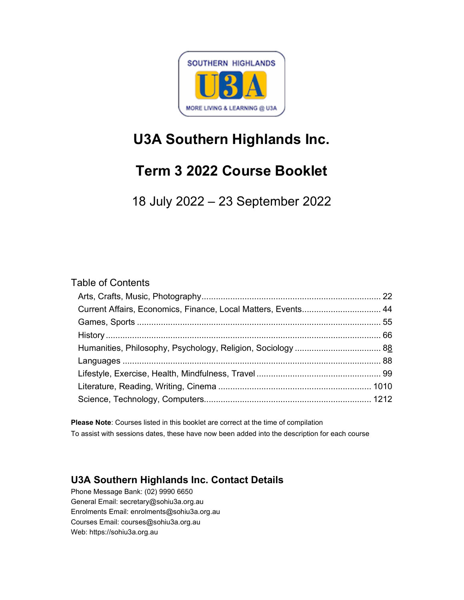

# U3A Southern Highlands Inc.

# Term 3 2022 Course Booklet

18 July 2022 – 23 September 2022

## Table of Contents

| Current Affairs, Economics, Finance, Local Matters, Events 44 |  |
|---------------------------------------------------------------|--|
|                                                               |  |
|                                                               |  |
|                                                               |  |
|                                                               |  |
|                                                               |  |
|                                                               |  |
|                                                               |  |

Please Note: Courses listed in this booklet are correct at the time of compilation To assist with sessions dates, these have now been added into the description for each course

## U3A Southern Highlands Inc. Contact Details

Phone Message Bank: (02) 9990 6650 General Email: secretary@sohiu3a.org.au Enrolments Email: enrolments@sohiu3a.org.au Courses Email: courses@sohiu3a.org.au Web: https://sohiu3a.org.au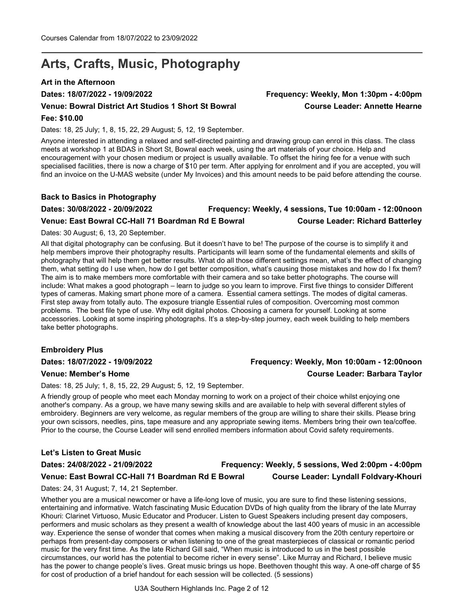## Arts, Crafts, Music, Photography

## Art in the Afternoon

## Venue: Bowral District Art Studios 1 Short St Bowral Course Leader: Annette Hearne

## Fee: \$10.00

Dates: 18, 25 July; 1, 8, 15, 22, 29 August; 5, 12, 19 September.

Anyone interested in attending a relaxed and self-directed painting and drawing group can enrol in this class. The class meets at workshop 1 at BDAS in Short St, Bowral each week, using the art materials of your choice. Help and encouragement with your chosen medium or project is usually available. To offset the hiring fee for a venue with such specialised facilities, there is now a charge of \$10 per term. After applying for enrolment and if you are accepted, you will find an invoice on the U-MAS website (under My Invoices) and this amount needs to be paid before attending the course.

## Back to Basics in Photography

## Dates: 30/08/2022 - 20/09/2022 Frequency: Weekly, 4 sessions, Tue 10:00am - 12:00noon Venue: East Bowral CC-Hall 71 Boardman Rd E Bowral Course Leader: Richard Batterley

Dates: 30 August; 6, 13, 20 September.

All that digital photography can be confusing. But it doesn't have to be! The purpose of the course is to simplify it and help members improve their photography results. Participants will learn some of the fundamental elements and skills of photography that will help them get better results. What do all those different settings mean, what's the effect of changing them, what setting do I use when, how do I get better composition, what's causing those mistakes and how do I fix them? The aim is to make members more comfortable with their camera and so take better photographs. The course will include: What makes a good photograph – learn to judge so you learn to improve. First five things to consider Different types of cameras. Making smart phone more of a camera. Essential camera settings. The modes of digital cameras. First step away from totally auto. The exposure triangle Essential rules of composition. Overcoming most common problems. The best file type of use. Why edit digital photos. Choosing a camera for yourself. Looking at some accessories. Looking at some inspiring photographs. It's a step-by-step journey, each week building to help members take better photographs.

## Embroidery Plus

Dates: 18/07/2022 - 19/09/2022 Frequency: Weekly, Mon 10:00am - 12:00noon

## Venue: Member's Home Course Leader: Barbara Taylor

Dates: 18, 25 July; 1, 8, 15, 22, 29 August; 5, 12, 19 September.

A friendly group of people who meet each Monday morning to work on a project of their choice whilst enjoying one another's company. As a group, we have many sewing skills and are available to help with several different styles of embroidery. Beginners are very welcome, as regular members of the group are willing to share their skills. Please bring your own scissors, needles, pins, tape measure and any appropriate sewing items. Members bring their own tea/coffee. Prior to the course, the Course Leader will send enrolled members information about Covid safety requirements.

## Let's Listen to Great Music

## Dates: 24/08/2022 - 21/09/2022 Frequency: Weekly, 5 sessions, Wed 2:00pm - 4:00pm Venue: East Bowral CC-Hall 71 Boardman Rd E Bowral Course Leader: Lyndall Foldvary-Khouri

Dates: 24, 31 August; 7, 14, 21 September.

Whether you are a musical newcomer or have a life-long love of music, you are sure to find these listening sessions, entertaining and informative. Watch fascinating Music Education DVDs of high quality from the library of the late Murray Khouri: Clarinet Virtuoso, Music Educator and Producer. Listen to Guest Speakers including present day composers, performers and music scholars as they present a wealth of knowledge about the last 400 years of music in an accessible way. Experience the sense of wonder that comes when making a musical discovery from the 20th century repertoire or perhaps from present-day composers or when listening to one of the great masterpieces of classical or romantic period music for the very first time. As the late Richard Gill said, "When music is introduced to us in the best possible circumstances, our world has the potential to become richer in every sense". Like Murray and Richard, I believe music has the power to change people's lives. Great music brings us hope. Beethoven thought this way. A one-off charge of \$5 for cost of production of a brief handout for each session will be collected. (5 sessions)

U3A Southern Highlands Inc. Page 2 of 12

# Dates: 18/07/2022 - 19/09/2022 Frequency: Weekly, Mon 1:30pm - 4:00pm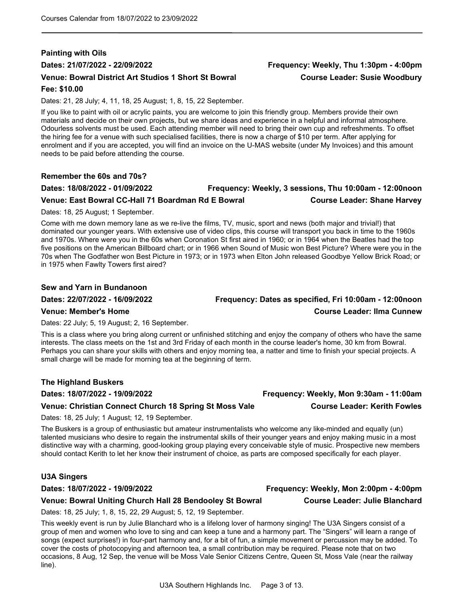## Painting with Oils Dates: 21/07/2022 - 22/09/2022 Frequency: Weekly, Thu 1:30pm - 4:00pm Venue: Bowral District Art Studios 1 Short St Bowral Course Leader: Susie Woodbury

## Fee: \$10.00

Dates: 21, 28 July; 4, 11, 18, 25 August; 1, 8, 15, 22 September.

If you like to paint with oil or acrylic paints, you are welcome to join this friendly group. Members provide their own materials and decide on their own projects, but we share ideas and experience in a helpful and informal atmosphere. Odourless solvents must be used. Each attending member will need to bring their own cup and refreshments. To offset the hiring fee for a venue with such specialised facilities, there is now a charge of \$10 per term. After applying for enrolment and if you are accepted, you will find an invoice on the U-MAS website (under My Invoices) and this amount needs to be paid before attending the course.

### Remember the 60s and 70s?

## Dates: 18/08/2022 - 01/09/2022 Frequency: Weekly, 3 sessions, Thu 10:00am - 12:00noon Venue: East Bowral CC-Hall 71 Boardman Rd E Bowral Course Leader: Shane Harvey

Dates: 18, 25 August; 1 September.

Come with me down memory lane as we re-live the films, TV, music, sport and news (both major and trivial!) that dominated our younger years. With extensive use of video clips, this course will transport you back in time to the 1960s and 1970s. Where were you in the 60s when Coronation St first aired in 1960; or in 1964 when the Beatles had the top five positions on the American Billboard chart; or in 1966 when Sound of Music won Best Picture? Where were you in the 70s when The Godfather won Best Picture in 1973; or in 1973 when Elton John released Goodbye Yellow Brick Road; or in 1975 when Fawlty Towers first aired?

### Sew and Yarn in Bundanoon

### Venue: Member's Home Course Leader: Ilma Cunnew

Dates: 22 July; 5, 19 August; 2, 16 September.

This is a class where you bring along current or unfinished stitching and enjoy the company of others who have the same interests. The class meets on the 1st and 3rd Friday of each month in the course leader's home, 30 km from Bowral. Perhaps you can share your skills with others and enjoy morning tea, a natter and time to finish your special projects. A small charge will be made for morning tea at the beginning of term.

## The Highland Buskers

### Venue: Christian Connect Church 18 Spring St Moss Vale Course Leader: Kerith Fowles

Dates: 18, 25 July; 1 August; 12, 19 September.

The Buskers is a group of enthusiastic but amateur instrumentalists who welcome any like-minded and equally (un) talented musicians who desire to regain the instrumental skills of their younger years and enjoy making music in a most distinctive way with a charming, good-looking group playing every conceivable style of music. Prospective new members should contact Kerith to let her know their instrument of choice, as parts are composed specifically for each player.

### U3A Singers

### Dates: 18/07/2022 - 19/09/2022 Frequency: Weekly, Mon 2:00pm - 4:00pm

## Venue: Bowral Uniting Church Hall 28 Bendooley St Bowral Course Leader: Julie Blanchard

Dates: 18, 25 July; 1, 8, 15, 22, 29 August; 5, 12, 19 September.

This weekly event is run by Julie Blanchard who is a lifelong lover of harmony singing! The U3A Singers consist of a group of men and women who love to sing and can keep a tune and a harmony part. The "Singers" will learn a range of songs (expect surprises!) in four-part harmony and, for a bit of fun, a simple movement or percussion may be added. To cover the costs of photocopying and afternoon tea, a small contribution may be required. Please note that on two occasions, 8 Aug, 12 Sep, the venue will be Moss Vale Senior Citizens Centre, Queen St, Moss Vale (near the railway line).

# Dates: 22/07/2022 - 16/09/2022 Frequency: Dates as specified, Fri 10:00am - 12:00noon

# Dates: 18/07/2022 - 19/09/2022 Frequency: Weekly, Mon 9:30am - 11:00am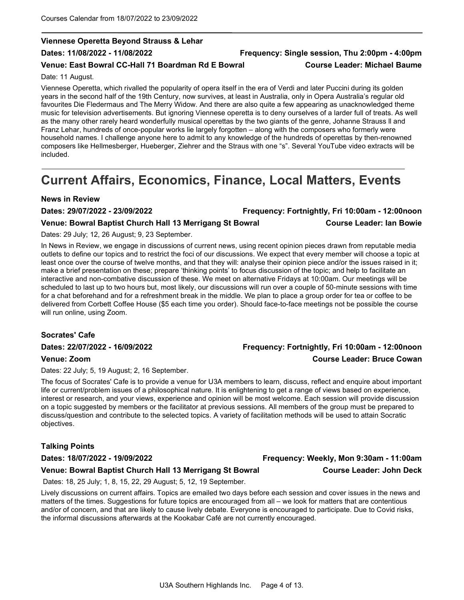## Viennese Operetta Beyond Strauss & Lehar

## Dates: 11/08/2022 - 11/08/2022 Frequency: Single session, Thu 2:00pm - 4:00pm

## Venue: East Bowral CC-Hall 71 Boardman Rd E Bowral Course Leader: Michael Baume

Date: 11 August.

Viennese Operetta, which rivalled the popularity of opera itself in the era of Verdi and later Puccini during its golden years in the second half of the 19th Century, now survives, at least in Australia, only in Opera Australia's regular old favourites Die Fledermaus and The Merry Widow. And there are also quite a few appearing as unacknowledged theme music for television advertisements. But ignoring Viennese operetta is to deny ourselves of a larder full of treats. As well as the many other rarely heard wonderfully musical operettas by the two giants of the genre, Johanne Strauss ll and Franz Lehar, hundreds of once-popular works lie largely forgotten – along with the composers who formerly were household names. I challenge anyone here to admit to any knowledge of the hundreds of operettas by then-renowned composers like Hellmesberger, Hueberger, Ziehrer and the Straus with one "s". Several YouTube video extracts will be included.

## Current Affairs, Economics, Finance, Local Matters, Events

## News in Review

| Dates: 29/07/2022 - 23/09/2022                           | Frequency: Fortnightly, Fri 10:00am - 12:00noon |
|----------------------------------------------------------|-------------------------------------------------|
| Venue: Bowral Baptist Church Hall 13 Merrigang St Bowral | <b>Course Leader: Ian Bowie</b>                 |

### Dates: 29 July; 12, 26 August; 9, 23 September.

In News in Review, we engage in discussions of current news, using recent opinion pieces drawn from reputable media outlets to define our topics and to restrict the foci of our discussions. We expect that every member will choose a topic at least once over the course of twelve months, and that they will: analyse their opinion piece and/or the issues raised in it; make a brief presentation on these; prepare 'thinking points' to focus discussion of the topic; and help to facilitate an interactive and non-combative discussion of these. We meet on alternative Fridays at 10:00am. Our meetings will be scheduled to last up to two hours but, most likely, our discussions will run over a couple of 50-minute sessions with time for a chat beforehand and for a refreshment break in the middle. We plan to place a group order for tea or coffee to be delivered from Corbett Coffee House (\$5 each time you order). Should face-to-face meetings not be possible the course will run online, using Zoom.

## Socrates' Cafe

Dates: 22/07/2022 - 16/09/2022 Frequency: Fortnightly, Fri 10:00am - 12:00noon

## Venue: Zoom Course Leader: Bruce Cowan

Dates: 22 July; 5, 19 August; 2, 16 September.

The focus of Socrates' Cafe is to provide a venue for U3A members to learn, discuss, reflect and enquire about important life or current/problem issues of a philosophical nature. It is enlightening to get a range of views based on experience, interest or research, and your views, experience and opinion will be most welcome. Each session will provide discussion on a topic suggested by members or the facilitator at previous sessions. All members of the group must be prepared to discuss/question and contribute to the selected topics. A variety of facilitation methods will be used to attain Socratic objectives.

## Talking Points

Dates: 18/07/2022 - 19/09/2022 Frequency: Weekly, Mon 9:30am - 11:00am

## Venue: Bowral Baptist Church Hall 13 Merrigang St Bowral Course Leader: John Deck

Dates: 18, 25 July; 1, 8, 15, 22, 29 August; 5, 12, 19 September.

Lively discussions on current affairs. Topics are emailed two days before each session and cover issues in the news and matters of the times. Suggestions for future topics are encouraged from all – we look for matters that are contentious and/or of concern, and that are likely to cause lively debate. Everyone is encouraged to participate. Due to Covid risks, the informal discussions afterwards at the Kookabar Café are not currently encouraged.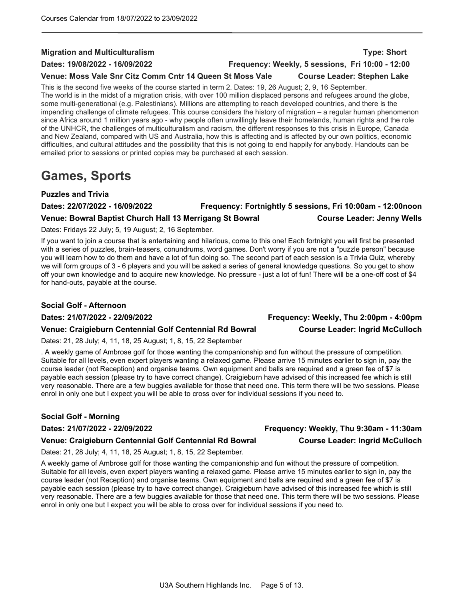## Migration and Multiculturalism Type: Short

Dates: 19/08/2022 - 16/09/2022 Frequency: Weekly, 5 sessions, Fri 10:00 - 12:00

## Venue: Moss Vale Snr Citz Comm Cntr 14 Queen St Moss Vale Course Leader: Stephen Lake

This is the second five weeks of the course started in term 2. Dates: 19, 26 August; 2, 9, 16 September. The world is in the midst of a migration crisis, with over 100 million displaced persons and refugees around the globe, some multi-generational (e.g. Palestinians). Millions are attempting to reach developed countries, and there is the impending challenge of climate refugees. This course considers the history of migration – a regular human phenomenon since Africa around 1 million years ago - why people often unwillingly leave their homelands, human rights and the role of the UNHCR, the challenges of multiculturalism and racism, the different responses to this crisis in Europe, Canada and New Zealand, compared with US and Australia, how this is affecting and is affected by our own politics, economic difficulties, and cultural attitudes and the possibility that this is not going to end happily for anybody. Handouts can be emailed prior to sessions or printed copies may be purchased at each session.

## Games, Sports

## Puzzles and Trivia

## Dates: 22/07/2022 - 16/09/2022 Frequency: Fortnightly 5 sessions, Fri 10:00am - 12:00noon Venue: Bowral Baptist Church Hall 13 Merrigang St Bowral Course Leader: Jenny Wells

Dates: Fridays 22 July; 5, 19 August; 2, 16 September.

If you want to join a course that is entertaining and hilarious, come to this one! Each fortnight you will first be presented with a series of puzzles, brain-teasers, conundrums, word games. Don't worry if you are not a "puzzle person" because you will learn how to do them and have a lot of fun doing so. The second part of each session is a Trivia Quiz, whereby we will form groups of 3 - 6 players and you will be asked a series of general knowledge questions. So you get to show off your own knowledge and to acquire new knowledge. No pressure - just a lot of fun! There will be a one-off cost of \$4 for hand-outs, payable at the course.

## Social Golf - Afternoon

## Venue: Craigieburn Centennial Golf Centennial Rd Bowral Course Leader: Ingrid McCulloch

Dates: 21, 28 July; 4, 11, 18, 25 August; 1, 8, 15, 22 September

. A weekly game of Ambrose golf for those wanting the companionship and fun without the pressure of competition. Suitable for all levels, even expert players wanting a relaxed game. Please arrive 15 minutes earlier to sign in, pay the course leader (not Reception) and organise teams. Own equipment and balls are required and a green fee of \$7 is payable each session (please try to have correct change). Craigieburn have advised of this increased fee which is still very reasonable. There are a few buggies available for those that need one. This term there will be two sessions. Please enrol in only one but I expect you will be able to cross over for individual sessions if you need to.

## Social Golf - Morning

## Dates: 21/07/2022 - 22/09/2022 Frequency: Weekly, Thu 9:30am - 11:30am

## Venue: Craigieburn Centennial Golf Centennial Rd Bowral Course Leader: Ingrid McCulloch

Dates: 21, 28 July; 4, 11, 18, 25 August; 1, 8, 15, 22 September.

A weekly game of Ambrose golf for those wanting the companionship and fun without the pressure of competition. Suitable for all levels, even expert players wanting a relaxed game. Please arrive 15 minutes earlier to sign in, pay the course leader (not Reception) and organise teams. Own equipment and balls are required and a green fee of \$7 is payable each session (please try to have correct change). Craigieburn have advised of this increased fee which is still very reasonable. There are a few buggies available for those that need one. This term there will be two sessions. Please enrol in only one but I expect you will be able to cross over for individual sessions if you need to.

Dates: 21/07/2022 - 22/09/2022 Frequency: Weekly, Thu 2:00pm - 4:00pm

U3A Southern Highlands Inc. Page 5 of 13.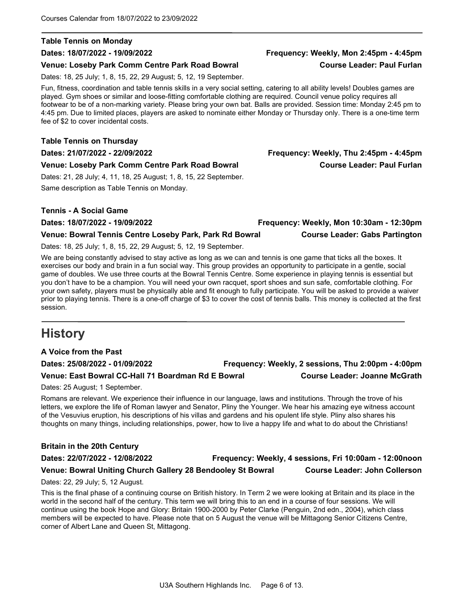### Table Tennis on Monday

### Venue: Loseby Park Comm Centre Park Road Bowral Course Leader: Paul Furlan

Dates: 18, 25 July; 1, 8, 15, 22, 29 August; 5, 12, 19 September.

Fun, fitness, coordination and table tennis skills in a very social setting, catering to all ability levels! Doubles games are played. Gym shoes or similar and loose-fitting comfortable clothing are required. Council venue policy requires all footwear to be of a non-marking variety. Please bring your own bat. Balls are provided. Session time: Monday 2:45 pm to 4:45 pm. Due to limited places, players are asked to nominate either Monday or Thursday only. There is a one-time term fee of \$2 to cover incidental costs.

## Table Tennis on Thursday

Dates: 21/07/2022 - 22/09/2022 Frequency: Weekly, Thu 2:45pm - 4:45pm

### Venue: Loseby Park Comm Centre Park Road Bowral Course Leader: Paul Furlan

Dates: 21, 28 July; 4, 11, 18, 25 August; 1, 8, 15, 22 September. Same description as Table Tennis on Monday.

## Tennis - A Social Game

Dates: 18/07/2022 - 19/09/2022 Frequency: Weekly, Mon 10:30am - 12:30pm

Venue: Bowral Tennis Centre Loseby Park, Park Rd Bowral Course Leader: Gabs Partington

Dates: 18, 25 July; 1, 8, 15, 22, 29 August; 5, 12, 19 September.

We are being constantly advised to stay active as long as we can and tennis is one game that ticks all the boxes. It exercises our body and brain in a fun social way. This group provides an opportunity to participate in a gentle, social game of doubles. We use three courts at the Bowral Tennis Centre. Some experience in playing tennis is essential but you don't have to be a champion. You will need your own racquet, sport shoes and sun safe, comfortable clothing. For your own safety, players must be physically able and fit enough to fully participate. You will be asked to provide a waiver prior to playing tennis. There is a one-off charge of \$3 to cover the cost of tennis balls. This money is collected at the first session.

## **History**

A Voice from the Past

Dates: 25/08/2022 - 01/09/2022 Frequency: Weekly, 2 sessions, Thu 2:00pm - 4:00pm

Venue: East Bowral CC-Hall 71 Boardman Rd E Bowral Course Leader: Joanne McGrath

Dates: 25 August; 1 September.

Romans are relevant. We experience their influence in our language, laws and institutions. Through the trove of his letters, we explore the life of Roman lawyer and Senator, Pliny the Younger. We hear his amazing eye witness account of the Vesuvius eruption, his descriptions of his villas and gardens and his opulent life style. Pliny also shares his thoughts on many things, including relationships, power, how to live a happy life and what to do about the Christians!

## Britain in the 20th Century

## Dates: 22/07/2022 - 12/08/2022 Frequency: Weekly, 4 sessions, Fri 10:00am - 12:00noon Venue: Bowral Uniting Church Gallery 28 Bendooley St Bowral Course Leader: John Collerson

Dates: 22, 29 July; 5, 12 August.

This is the final phase of a continuing course on British history. In Term 2 we were looking at Britain and its place in the world in the second half of the century. This term we will bring this to an end in a course of four sessions. We will continue using the book Hope and Glory: Britain 1900-2000 by Peter Clarke (Penguin, 2nd edn., 2004), which class members will be expected to have. Please note that on 5 August the venue will be Mittagong Senior Citizens Centre, corner of Albert Lane and Queen St, Mittagong.

## Dates: 18/07/2022 - 19/09/2022 Frequency: Weekly, Mon 2:45pm - 4:45pm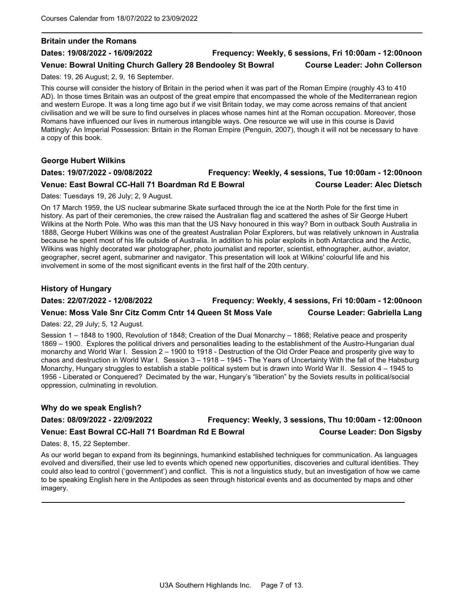### Britain under the Romans

## Dates: 19/08/2022 - 16/09/2022 Frequency: Weekly, 6 sessions, Fri 10:00am - 12:00noon

Venue: Bowral Uniting Church Gallery 28 Bendooley St Bowral Course Leader: John Collerson

Dates: 19, 26 August; 2, 9, 16 September.

This course will consider the history of Britain in the period when it was part of the Roman Empire (roughly 43 to 410 AD). In those times Britain was an outpost of the great empire that encompassed the whole of the Mediterranean region and western Europe. It was a long time ago but if we visit Britain today, we may come across remains of that ancient civilisation and we will be sure to find ourselves in places whose names hint at the Roman occupation. Moreover, those Romans have influenced our lives in numerous intangible ways. One resource we will use in this course is David Mattingly: An Imperial Possession: Britain in the Roman Empire (Penguin, 2007), though it will not be necessary to have a copy of this book.

George Hubert Wilkins

## Dates: 19/07/2022 - 09/08/2022 Frequency: Weekly, 4 sessions, Tue 10:00am - 12:00noon Venue: East Bowral CC-Hall 71 Boardman Rd E Bowral Course Leader: Alec Dietsch

Dates: Tuesdays 19, 26 July; 2, 9 August.

On 17 March 1959, the US nuclear submarine Skate surfaced through the ice at the North Pole for the first time in history. As part of their ceremonies, the crew raised the Australian flag and scattered the ashes of Sir George Hubert Wilkins at the North Pole. Who was this man that the US Navy honoured in this way? Born in outback South Australia in 1888, George Hubert Wilkins was one of the greatest Australian Polar Explorers, but was relatively unknown in Australia because he spent most of his life outside of Australia. In addition to his polar exploits in both Antarctica and the Arctic, Wilkins was highly decorated war photographer, photo journalist and reporter, scientist, ethnographer, author, aviator, geographer, secret agent, submariner and navigator. This presentation will look at Wilkins' colourful life and his involvement in some of the most significant events in the first half of the 20th century.

## History of Hungary

Dates: 22/07/2022 - 12/08/2022 Frequency: Weekly, 4 sessions, Fri 10:00am - 12:00noon Venue: Moss Vale Snr Citz Comm Cntr 14 Queen St Moss Vale Course Leader: Gabriella Lang

Dates: 22, 29 July; 5, 12 August.

Session 1 – 1848 to 1900, Revolution of 1848; Creation of the Dual Monarchy – 1868; Relative peace and prosperity 1869 – 1900. Explores the political drivers and personalities leading to the establishment of the Austro-Hungarian dual monarchy and World War I. Session 2 – 1900 to 1918 - Destruction of the Old Order Peace and prosperity give way to chaos and destruction in World War I. Session 3 – 1918 – 1945 - The Years of Uncertainty With the fall of the Habsburg Monarchy, Hungary struggles to establish a stable political system but is drawn into World War II. Session 4 – 1945 to 1956 - Liberated or Conquered? Decimated by the war, Hungary's "liberation" by the Soviets results in political/social oppression, culminating in revolution.

## Why do we speak English?

## Dates: 08/09/2022 - 22/09/2022 Frequency: Weekly, 3 sessions, Thu 10:00am - 12:00noon Venue: East Bowral CC-Hall 71 Boardman Rd E Bowral Course Leader: Don Sigsby

Dates: 8, 15, 22 September.

As our world began to expand from its beginnings, humankind established techniques for communication. As languages evolved and diversified, their use led to events which opened new opportunities, discoveries and cultural identities. They could also lead to control ('government') and conflict. This is not a linguistics study, but an investigation of how we came to be speaking English here in the Antipodes as seen through historical events and as documented by maps and other imagery.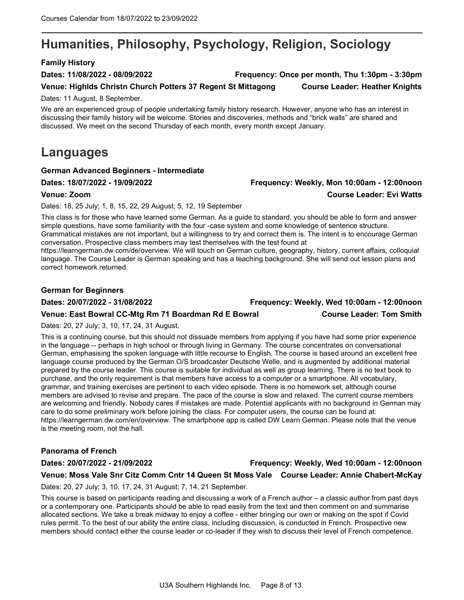## Humanities, Philosophy, Psychology, Religion, Sociology

## Family History

Dates: 11/08/2022 - 08/09/2022 Frequency: Once per month, Thu 1:30pm - 3:30pm

Venue: Highlds Christn Church Potters 37 Regent St Mittagong Course Leader: Heather Knights

Dates: 11 August, 8 September.

We are an experienced group of people undertaking family history research. However, anyone who has an interest in discussing their family history will be welcome. Stories and discoveries, methods and "brick walls" are shared and discussed. We meet on the second Thursday of each month, every month except January.

## Languages

## German Advanced Beginners - Intermediate

Dates: 18/07/2022 - 19/09/2022 Frequency: Weekly, Mon 10:00am - 12:00noon

## Venue: Zoom Course Leader: Evi Watts

Dates: 18, 25 July; 1, 8, 15, 22, 29 August; 5, 12, 19 September

This class is for those who have learned some German. As a guide to standard, you should be able to form and answer simple questions, have some familiarity with the four -case system and some knowledge of sentence structure. Grammatical mistakes are not important, but a willingness to try and correct them is. The intent is to encourage German conversation. Prospective class members may test themselves with the test found at

https://learngerman.dw.com/de/overview. We will touch on German culture, geography, history, current affairs, colloquial language. The Course Leader is German speaking and has a teaching background. She will send out lesson plans and correct homework returned.

## German for Beginners

Dates: 20/07/2022 - 31/08/2022 Frequency: Weekly, Wed 10:00am - 12:00noon

## Venue: East Bowral CC-Mtg Rm 71 Boardman Rd E Bowral Course Leader: Tom Smith

Dates: 20, 27 July; 3, 10, 17, 24, 31 August.

This is a continuing course, but this should not dissuade members from applying if you have had some prior experience in the language -- perhaps in high school or through living in Germany. The course concentrates on conversational German, emphasising the spoken language with little recourse to English. The course is based around an excellent free language course produced by the German O/S broadcaster Deutsche Welle, and is augmented by additional material prepared by the course leader. This course is suitable for individual as well as group learning. There is no text book to purchase, and the only requirement is that members have access to a computer or a smartphone. All vocabulary, grammar, and training exercises are pertinent to each video episode. There is no homework set, although course members are advised to revise and prepare. The pace of the course is slow and relaxed. The current course members are welcoming and friendly. Nobody cares if mistakes are made. Potential applicants with no background in German may care to do some preliminary work before joining the class. For computer users, the course can be found at: https://learngerman.dw.com/en/overview. The smartphone app is called DW Learn German. Please note that the venue is the meeting room, not the hall.

## Panorama of French

## Dates: 20/07/2022 - 21/09/2022 Frequency: Weekly, Wed 10:00am - 12:00noon Venue: Moss Vale Snr Citz Comm Cntr 14 Queen St Moss Vale Course Leader: Annie Chabert-McKay

Dates: 20, 27 July; 3, 10, 17, 24, 31 August; 7, 14, 21 September.

This course is based on participants reading and discussing a work of a French author – a classic author from past days or a contemporary one. Participants should be able to read easily from the text and then comment on and summarise allocated sections. We take a break midway to enjoy a coffee - either bringing our own or making on the spot if Covid rules permit. To the best of our ability the entire class, including discussion, is conducted in French. Prospective new members should contact either the course leader or co-leader if they wish to discuss their level of French competence.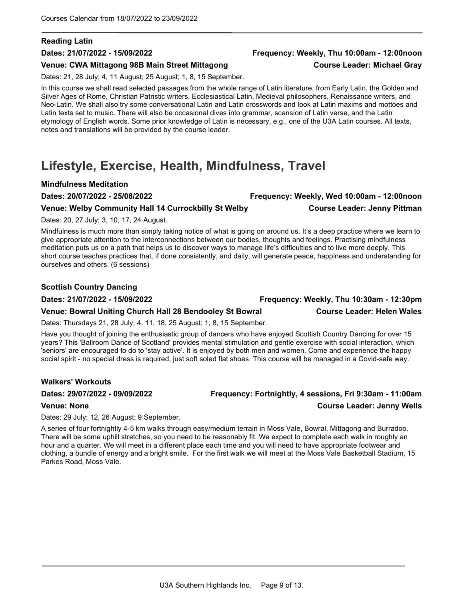## Reading Latin

## Venue: CWA Mittagong 98B Main Street Mittagong Course Leader: Michael Gray

Dates: 21, 28 July; 4, 11 August; 25 August; 1, 8, 15 September.

In this course we shall read selected passages from the whole range of Latin literature, from Early Latin, the Golden and Silver Ages of Rome, Christian Patristic writers, Ecclesiastical Latin, Medieval philosophers, Renaissance writers, and Neo-Latin. We shall also try some conversational Latin and Latin crosswords and look at Latin maxims and mottoes and Latin texts set to music. There will also be occasional dives into grammar, scansion of Latin verse, and the Latin etymology of English words. Some prior knowledge of Latin is necessary, e.g., one of the U3A Latin courses. All texts, notes and translations will be provided by the course leader.

## Lifestyle, Exercise, Health, Mindfulness, Travel

## Mindfulness Meditation

Dates: 20/07/2022 - 25/08/2022 Frequency: Weekly, Wed 10:00am - 12:00noon

## Venue: Welby Community Hall 14 Currockbilly St Welby Course Leader: Jenny Pittman

Dates: 20, 27 July; 3, 10, 17, 24 August.

Mindfulness is much more than simply taking notice of what is going on around us. It's a deep practice where we learn to give appropriate attention to the interconnections between our bodies, thoughts and feelings. Practising mindfulness meditation puts us on a path that helps us to discover ways to manage life's difficulties and to live more deeply. This short course teaches practices that, if done consistently, and daily, will generate peace, happiness and understanding for ourselves and others. (6 sessions)

## Scottish Country Dancing

## Venue: Bowral Uniting Church Hall 28 Bendooley St Bowral Course Leader: Helen Wales

Dates: Thursdays 21, 28 July; 4, 11, 18, 25 August; 1, 8, 15 September.

Have you thought of joining the enthusiastic group of dancers who have enjoyed Scottish Country Dancing for over 15 years? This 'Ballroom Dance of Scotland' provides mental stimulation and gentle exercise with social interaction, which 'seniors' are encouraged to do to 'stay active'. It is enjoyed by both men and women. Come and experience the happy social spirit - no special dress is required, just soft soled flat shoes. This course will be managed in a Covid-safe way.

## Walkers' Workouts

## Dates: 29/07/2022 - 09/09/2022 Frequency: Fortnightly, 4 sessions, Fri 9:30am - 11:00am Venue: None Course Leader: Jenny Wells

Dates: 29 July; 12, 26 August; 9 September.

A series of four fortnightly 4-5 km walks through easy/medium terrain in Moss Vale, Bowral, Mittagong and Burradoo. There will be some uphill stretches, so you need to be reasonably fit. We expect to complete each walk in roughly an hour and a quarter. We will meet in a different place each time and you will need to have appropriate footwear and clothing, a bundle of energy and a bright smile. For the first walk we will meet at the Moss Vale Basketball Stadium, 15 Parkes Road, Moss Vale.

## U3A Southern Highlands Inc. Page 9 of 13.

## Dates: 21/07/2022 - 15/09/2022 Frequency: Weekly, Thu 10:00am - 12:00noon

Dates: 21/07/2022 - 15/09/2022 Frequency: Weekly, Thu 10:30am - 12:30pm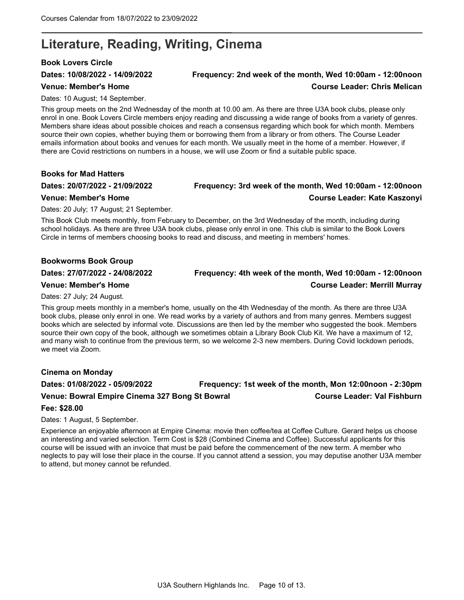## Literature, Reading, Writing, Cinema

## Book Lovers Circle

## Dates: 10/08/2022 - 14/09/2022 Frequency: 2nd week of the month, Wed 10:00am - 12:00noon Venue: Member's Home Course Leader: Chris Melican

Dates: 10 August; 14 September.

This group meets on the 2nd Wednesday of the month at 10.00 am. As there are three U3A book clubs, please only enrol in one. Book Lovers Circle members enjoy reading and discussing a wide range of books from a variety of genres. Members share ideas about possible choices and reach a consensus regarding which book for which month. Members source their own copies, whether buying them or borrowing them from a library or from others. The Course Leader emails information about books and venues for each month. We usually meet in the home of a member. However, if there are Covid restrictions on numbers in a house, we will use Zoom or find a suitable public space.

## Books for Mad Hatters

## Dates: 20/07/2022 - 21/09/2022 Frequency: 3rd week of the month, Wed 10:00am - 12:00noon Venue: Member's Home Course Leader: Kate Kaszonyi

Dates: 20 July; 17 August; 21 September.

This Book Club meets monthly, from February to December, on the 3rd Wednesday of the month, including during school holidays. As there are three U3A book clubs, please only enrol in one. This club is similar to the Book Lovers Circle in terms of members choosing books to read and discuss, and meeting in members' homes.

## Bookworms Book Group

## Dates: 27/07/2022 - 24/08/2022 Frequency: 4th week of the month, Wed 10:00am - 12:00noon

## Venue: Member's Home Course Leader: Merrill Murray

Dates: 27 July; 24 August.

This group meets monthly in a member's home, usually on the 4th Wednesday of the month. As there are three U3A book clubs, please only enrol in one. We read works by a variety of authors and from many genres. Members suggest books which are selected by informal vote. Discussions are then led by the member who suggested the book. Members source their own copy of the book, although we sometimes obtain a Library Book Club Kit. We have a maximum of 12, and many wish to continue from the previous term, so we welcome 2-3 new members. During Covid lockdown periods, we meet via Zoom.

## Cinema on Monday

Dates: 01/08/2022 - 05/09/2022 Frequency: 1st week of the month, Mon 12:00noon - 2:30pm Venue: Bowral Empire Cinema 327 Bong St Bowral Course Leader: Val Fishburn

## Fee: \$28.00

Dates: 1 August, 5 September.

Experience an enjoyable afternoon at Empire Cinema: movie then coffee/tea at Coffee Culture. Gerard helps us choose an interesting and varied selection. Term Cost is \$28 (Combined Cinema and Coffee). Successful applicants for this course will be issued with an invoice that must be paid before the commencement of the new term. A member who neglects to pay will lose their place in the course. If you cannot attend a session, you may deputise another U3A member to attend, but money cannot be refunded.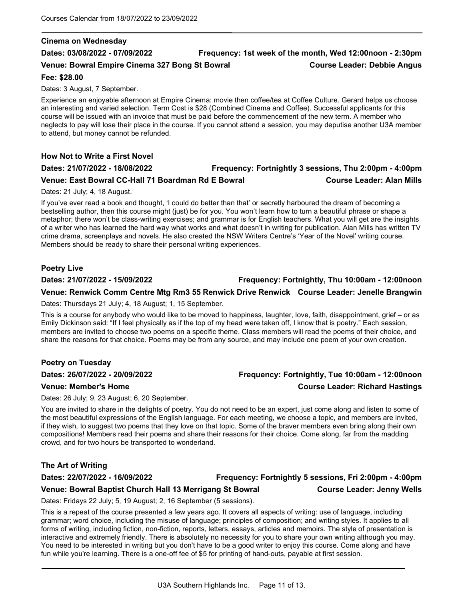## Cinema on Wednesday

## Dates: 03/08/2022 - 07/09/2022 Frequency: 1st week of the month, Wed 12:00noon - 2:30pm Venue: Bowral Empire Cinema 327 Bong St Bowral Christian Course Leader: Debbie Angus

## Fee: \$28.00

Dates: 3 August, 7 September.

Experience an enjoyable afternoon at Empire Cinema: movie then coffee/tea at Coffee Culture. Gerard helps us choose an interesting and varied selection. Term Cost is \$28 (Combined Cinema and Coffee). Successful applicants for this course will be issued with an invoice that must be paid before the commencement of the new term. A member who neglects to pay will lose their place in the course. If you cannot attend a session, you may deputise another U3A member to attend, but money cannot be refunded.

## How Not to Write a First Novel

## Dates: 21/07/2022 - 18/08/2022 Frequency: Fortnightly 3 sessions, Thu 2:00pm - 4:00pm

## Venue: East Bowral CC-Hall 71 Boardman Rd E Bowral Course Leader: Alan Mills

Dates: 21 July; 4, 18 August.

If you've ever read a book and thought, 'I could do better than that' or secretly harboured the dream of becoming a bestselling author, then this course might (just) be for you. You won't learn how to turn a beautiful phrase or shape a metaphor; there won't be class-writing exercises; and grammar is for English teachers. What you will get are the insights of a writer who has learned the hard way what works and what doesn't in writing for publication. Alan Mills has written TV crime drama, screenplays and novels. He also created the NSW Writers Centre's 'Year of the Novel' writing course. Members should be ready to share their personal writing experiences.

## Poetry Live

Dates: 21/07/2022 - 15/09/2022 Frequency: Fortnightly, Thu 10:00am - 12:00noon

## Venue: Renwick Comm Centre Mtg Rm3 55 Renwick Drive Renwick Course Leader: Jenelle Brangwin

Dates: Thursdays 21 July; 4, 18 August; 1, 15 September.

This is a course for anybody who would like to be moved to happiness, laughter, love, faith, disappointment, grief – or as Emily Dickinson said: "If I feel physically as if the top of my head were taken off, I know that is poetry." Each session, members are invited to choose two poems on a specific theme. Class members will read the poems of their choice, and share the reasons for that choice. Poems may be from any source, and may include one poem of your own creation.

## Poetry on Tuesday

Dates: 26 July; 9, 23 August; 6, 20 September.

You are invited to share in the delights of poetry. You do not need to be an expert, just come along and listen to some of the most beautiful expressions of the English language. For each meeting, we choose a topic, and members are invited, if they wish, to suggest two poems that they love on that topic. Some of the braver members even bring along their own compositions! Members read their poems and share their reasons for their choice. Come along, far from the madding crowd, and for two hours be transported to wonderland.

## The Art of Writing

### Dates: 22/07/2022 - 16/09/2022 Frequency: Fortnightly 5 sessions, Fri 2:00pm - 4:00pm

## Dates: 26/07/2022 - 20/09/2022 Frequency: Fortnightly, Tue 10:00am - 12:00noon Venue: Member's Home Course Leader: Richard Hastings

Dates: Fridays 22 July; 5, 19 August; 2, 16 September (5 sessions).

This is a repeat of the course presented a few years ago. It covers all aspects of writing: use of language, including grammar; word choice, including the misuse of language; principles of composition; and writing styles. It applies to all forms of writing, including fiction, non-fiction, reports, letters, essays, articles and memoirs. The style of presentation is interactive and extremely friendly. There is absolutely no necessity for you to share your own writing although you may. You need to be interested in writing but you don't have to be a good writer to enjoy this course. Come along and have fun while you're learning. There is a one-off fee of \$5 for printing of hand-outs, payable at first session.

Venue: Bowral Baptist Church Hall 13 Merrigang St Bowral Course Leader: Jenny Wells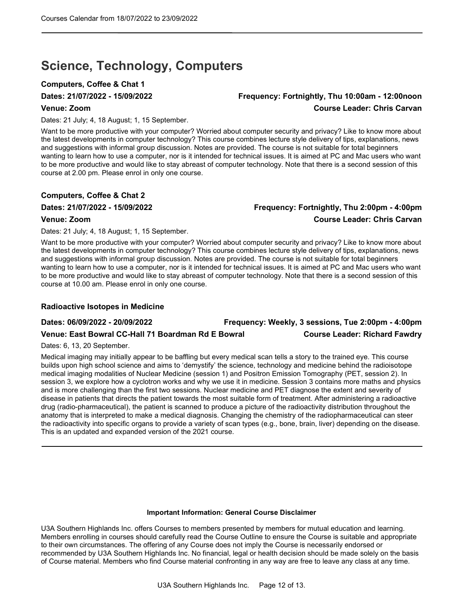## Science, Technology, Computers

## Computers, Coffee & Chat 1

## Dates: 21/07/2022 - 15/09/2022 Frequency: Fortnightly, Thu 10:00am - 12:00noon Venue: Zoom Course Leader: Chris Carvan

Dates: 21 July; 4, 18 August; 1, 15 September.

Want to be more productive with your computer? Worried about computer security and privacy? Like to know more about the latest developments in computer technology? This course combines lecture style delivery of tips, explanations, news and suggestions with informal group discussion. Notes are provided. The course is not suitable for total beginners wanting to learn how to use a computer, nor is it intended for technical issues. It is aimed at PC and Mac users who want to be more productive and would like to stay abreast of computer technology. Note that there is a second session of this course at 2.00 pm. Please enrol in only one course.

## Computers, Coffee & Chat 2

## Dates: 21/07/2022 - 15/09/2022 Frequency: Fortnightly, Thu 2:00pm - 4:00pm Venue: Zoom Course Leader: Chris Carvan

Dates: 21 July; 4, 18 August; 1, 15 September.

Want to be more productive with your computer? Worried about computer security and privacy? Like to know more about the latest developments in computer technology? This course combines lecture style delivery of tips, explanations, news and suggestions with informal group discussion. Notes are provided. The course is not suitable for total beginners wanting to learn how to use a computer, nor is it intended for technical issues. It is aimed at PC and Mac users who want to be more productive and would like to stay abreast of computer technology. Note that there is a second session of this course at 10.00 am. Please enrol in only one course.

## Radioactive Isotopes in Medicine

Dates: 06/09/2022 - 20/09/2022 Frequency: Weekly, 3 sessions, Tue 2:00pm - 4:00pm Venue: East Bowral CC-Hall 71 Boardman Rd E Bowral Course Leader: Richard Fawdry

Dates: 6, 13, 20 September.

Medical imaging may initially appear to be baffling but every medical scan tells a story to the trained eye. This course builds upon high school science and aims to 'demystify' the science, technology and medicine behind the radioisotope medical imaging modalities of Nuclear Medicine (session 1) and Positron Emission Tomography (PET, session 2). In session 3, we explore how a cyclotron works and why we use it in medicine. Session 3 contains more maths and physics and is more challenging than the first two sessions. Nuclear medicine and PET diagnose the extent and severity of disease in patients that directs the patient towards the most suitable form of treatment. After administering a radioactive drug (radio-pharmaceutical), the patient is scanned to produce a picture of the radioactivity distribution throughout the anatomy that is interpreted to make a medical diagnosis. Changing the chemistry of the radiopharmaceutical can steer the radioactivity into specific organs to provide a variety of scan types (e.g., bone, brain, liver) depending on the disease. This is an updated and expanded version of the 2021 course.

### Important Information: General Course Disclaimer

U3A Southern Highlands Inc. offers Courses to members presented by members for mutual education and learning. Members enrolling in courses should carefully read the Course Outline to ensure the Course is suitable and appropriate to their own circumstances. The offering of any Course does not imply the Course is necessarily endorsed or recommended by U3A Southern Highlands Inc. No financial, legal or health decision should be made solely on the basis of Course material. Members who find Course material confronting in any way are free to leave any class at any time.